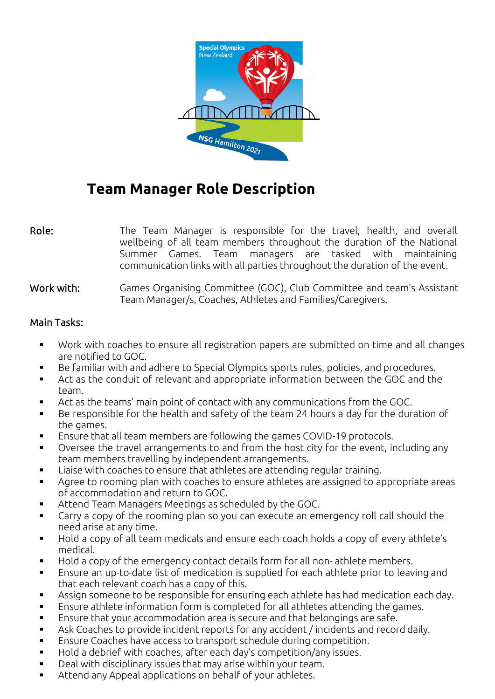

# **Team Manager Role Description**

Role: The Team Manager is responsible for the travel, health, and overall wellbeing of all team members throughout the duration of the National Summer Games. Team managers are tasked with maintaining communication links with all parties throughout the duration of the event.

#### Work with: Games Organising Committee (GOC), Club Committee and team's Assistant Team Manager/s, Coaches, Athletes and Families/Caregivers.

### Main Tasks:

- Work with coaches to ensure all registration papers are submitted on time and all changes are notified to GOC.
- Be familiar with and adhere to Special Olympics sports rules, policies, and procedures.
- Act as the conduit of relevant and appropriate information between the GOC and the team.
- Act as the teams' main point of contact with any communications from the GOC.
- Be responsible for the health and safety of the team 24 hours a day for the duration of the games.
- Ensure that all team members are following the games COVID-19 protocols.
- Oversee the travel arrangements to and from the host city for the event, including any team members travelling by independent arrangements.
- Liaise with coaches to ensure that athletes are attending regular training.
- Agree to rooming plan with coaches to ensure athletes are assigned to appropriate areas of accommodation and return to GOC.
- Attend Team Managers Meetings as scheduled by the GOC.
- Carry a copy of the rooming plan so you can execute an emergency roll call should the need arise at any time.
- Hold a copy of all team medicals and ensure each coach holds a copy of every athlete's medical.
- Hold a copy of the emergency contact details form for all non- athlete members.
- Ensure an up-to-date list of medication is supplied for each athlete prior to leaving and that each relevant coach has a copy of this.
- Assign someone to be responsible for ensuring each athlete has had medication each day.
- Ensure athlete information form is completed for all athletes attending the games.
- Ensure that your accommodation area is secure and that belongings are safe.
- Ask Coaches to provide incident reports for any accident / incidents and record daily.
- Ensure Coaches have access to transport schedule during competition.
- Hold a debrief with coaches, after each day's competition/any issues.
- Deal with disciplinary issues that may arise within your team.
- Attend any Appeal applications on behalf of your athletes.